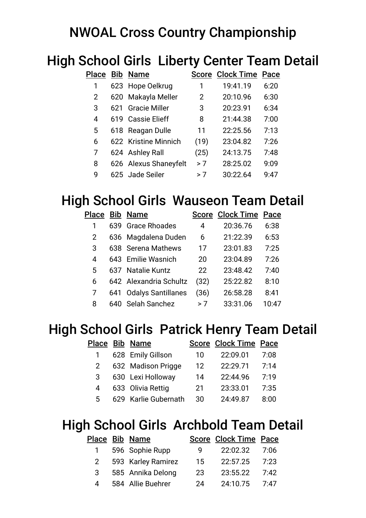# NWOAL Cross Country Championship

# High School Girls Liberty Center Team Detail

| Place          |     | <b>Bib Name</b>       |      | <b>Score Clock Time Pace</b> |      |
|----------------|-----|-----------------------|------|------------------------------|------|
| 1              |     | 623 Hope Oelkrug      | 1    | 19:41.19                     | 6:20 |
| $\overline{2}$ |     | 620 Makayla Meller    | 2    | 20:10.96                     | 6:30 |
| 3              | 621 | <b>Gracie Miller</b>  | 3    | 20:23.91                     | 6:34 |
| 4              | 619 | <b>Cassie Elieff</b>  | 8    | 21:44.38                     | 7:00 |
| 5              |     | 618 Reagan Dulle      | 11   | 22:25.56                     | 7:13 |
| 6              |     | 622 Kristine Minnich  | (19) | 23:04.82                     | 7:26 |
| 7              |     | 624 Ashley Rall       | (25) | 24:13.75                     | 7:48 |
| 8              |     | 626 Alexus Shaneyfelt | > 7  | 28:25.02                     | 9:09 |
| 9              |     | 625 Jade Seiler       | > 7  | 30:22.64                     | 9:47 |

## High School Girls Wauseon Team Detail

| Place |      | <b>Bib Name</b>           |      | <b>Score Clock Time</b> | Pace  |
|-------|------|---------------------------|------|-------------------------|-------|
|       | 639. | <b>Grace Rhoades</b>      | 4    | 20:36.76                | 6:38  |
| 2     |      | 636 Magdalena Duden       | 6    | 21:22.39                | 6:53  |
| 3     |      | 638 Serena Mathews        | 17   | 23:01.83                | 7:25  |
| 4     |      | 643 Emilie Wasnich        | 20   | 23:04.89                | 7:26  |
| 5     |      | 637 Natalie Kuntz         | 22   | 23:48.42                | 7:40  |
| 6     |      | 642 Alexandria Schultz    | (32) | 25:22.82                | 8:10  |
|       | 641  | <b>Odalys Santillanes</b> | (36) | 26:58.28                | 8:41  |
| 8     | 640  | <b>Selah Sanchez</b>      | > 7  | 33:31.06                | 10:47 |

## High School Girls Patrick Henry Team Detail

|              | Place Bib Name       |    | <b>Score Clock Time Pace</b> |      |
|--------------|----------------------|----|------------------------------|------|
| $\mathbf{1}$ | 628 Emily Gillson    | 10 | 22:09.01                     | 7:08 |
| 2.           | 632 Madison Prigge   | 12 | 22:29.71                     | 7:14 |
| 3            | 630 Lexi Holloway    | 14 | 22:44.96                     | 7:19 |
| 4            | 633 Olivia Rettig    | 21 | 23:33.01                     | 7:35 |
| 5.           | 629 Karlie Gubernath | 30 | 24:49.87                     | 8:00 |

#### High School Girls Archbold Team Detail

|                    | Place Bib Name     |     | Score Clock Time Pace |      |
|--------------------|--------------------|-----|-----------------------|------|
| 1                  | 596 Sophie Rupp    | q   | 22:02.32              | 7:06 |
| $2^{\circ}$        | 593 Karley Ramirez | 15  | 22:57.25              | 7:23 |
| 3                  | 585 Annika Delong  | 23. | 23:55.22              | 7:42 |
| $\mathbf{\Lambda}$ | 584 Allie Buehrer  | 24  | 24:10.75              | 7:47 |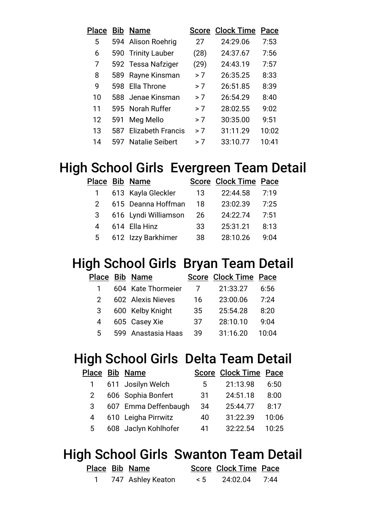| Place |     | <b>Bib Name</b>          | <b>Score</b> | <b>Clock Time</b> | Pace  |
|-------|-----|--------------------------|--------------|-------------------|-------|
| 5     |     | 594 Alison Roehrig       | 27           | 24:29.06          | 7:53  |
| 6     | 590 | <b>Trinity Lauber</b>    | (28)         | 24:37.67          | 7:56  |
| 7     |     | 592 Tessa Nafziger       | (29)         | 24:43.19          | 7:57  |
| 8     | 589 | Rayne Kinsman            | > 7          | 26:35.25          | 8:33  |
| 9     | 598 | Ella Throne              | > 7          | 26:51.85          | 8:39  |
| 10    |     | 588 Jenae Kinsman        | >7           | 26:54.29          | 8:40  |
| 11    |     | 595 Norah Ruffer         | > 7          | 28:02.55          | 9:02  |
| 12    | 591 | Meg Mello                | > 7          | 30:35.00          | 9:51  |
| 13    | 587 | <b>Elizabeth Francis</b> | > 7          | 31:11.29          | 10:02 |
| 14    | 597 | <b>Natalie Seibert</b>   | > 7          | 33:10.77          | 10:41 |

## High School Girls Evergreen Team Detail

|  | 13                                                                                                                        | 22:44.58 | 7:19                  |
|--|---------------------------------------------------------------------------------------------------------------------------|----------|-----------------------|
|  | 18                                                                                                                        | 23:02.39 | 7:25                  |
|  | 26                                                                                                                        | 24:22.74 | 7:51                  |
|  | 33                                                                                                                        | 25:31.21 | 8:13                  |
|  | 38                                                                                                                        | 28:10.26 | 9.04                  |
|  | Place Bib Name<br>613 Kayla Gleckler<br>615 Deanna Hoffman<br>616 Lyndi Williamson<br>614 Ella Hinz<br>612 Izzy Barkhimer |          | Score Clock Time Pace |

## High School Girls Bryan Team Detail

|    | Place Bib Name     |    | Score Clock Time Pace |       |
|----|--------------------|----|-----------------------|-------|
|    | 604 Kate Thormeier |    | 21:33.27              | 6:56  |
| 2. | 602 Alexis Nieves  | 16 | 23:00.06              | 7:24  |
| 3  | 600 Kelby Knight   | 35 | 25:54.28              | 8:20  |
| 4  | 605 Casey Xie      | 37 | 28:10.10              | 9:04  |
| 5. | 599 Anastasia Haas | 39 | 31:16.20              | 10:04 |
|    |                    |    |                       |       |

### High School Girls Delta Team Detail

|             | Place Bib Name       |    | <b>Score Clock Time Pace</b> |       |
|-------------|----------------------|----|------------------------------|-------|
|             | 611 Josilyn Welch    | 5  | 21:13.98                     | 6:50  |
| $2^{\circ}$ | 606 Sophia Bonfert   | 31 | 24:51.18                     | 8:00  |
| 3           | 607 Emma Deffenbaugh | 34 | 25:44.77                     | 8:17  |
| 4           | 610 Leigha Pirrwitz  | 40 | 31:22.39                     | 10:06 |
| 5           | 608 Jaclyn Kohlhofer | 41 | 32:22.54                     | 10:25 |

### High School Girls Swanton Team Detail

|  | Place Bib Name      |    | <b>Score Clock Time Pace</b> |  |
|--|---------------------|----|------------------------------|--|
|  | 1 747 Ashley Keaton | 5< | 24:02.04 7:44                |  |